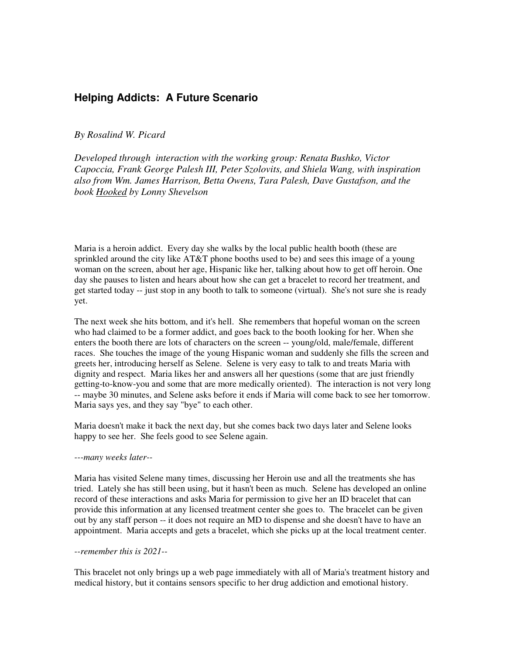## **Helping Addicts: A Future Scenario**

*By Rosalind W. Picard* 

*Developed through interaction with the working group: Renata Bushko, Victor Capoccia, Frank George Palesh III, Peter Szolovits, and Shiela Wang, with inspiration also from Wm. James Harrison, Betta Owens, Tara Palesh, Dave Gustafson, and the book Hooked by Lonny Shevelson* 

Maria is a heroin addict. Every day she walks by the local public health booth (these are sprinkled around the city like AT&T phone booths used to be) and sees this image of a young woman on the screen, about her age, Hispanic like her, talking about how to get off heroin. One day she pauses to listen and hears about how she can get a bracelet to record her treatment, and get started today -- just stop in any booth to talk to someone (virtual). She's not sure she is ready yet.

The next week she hits bottom, and it's hell. She remembers that hopeful woman on the screen who had claimed to be a former addict, and goes back to the booth looking for her. When she enters the booth there are lots of characters on the screen -- young/old, male/female, different races. She touches the image of the young Hispanic woman and suddenly she fills the screen and greets her, introducing herself as Selene. Selene is very easy to talk to and treats Maria with dignity and respect. Maria likes her and answers all her questions (some that are just friendly getting-to-know-you and some that are more medically oriented). The interaction is not very long -- maybe 30 minutes, and Selene asks before it ends if Maria will come back to see her tomorrow. Maria says yes, and they say "bye" to each other.

Maria doesn't make it back the next day, but she comes back two days later and Selene looks happy to see her. She feels good to see Selene again.

## *---many weeks later--*

Maria has visited Selene many times, discussing her Heroin use and all the treatments she has tried. Lately she has still been using, but it hasn't been as much. Selene has developed an online record of these interactions and asks Maria for permission to give her an ID bracelet that can provide this information at any licensed treatment center she goes to. The bracelet can be given out by any staff person -- it does not require an MD to dispense and she doesn't have to have an appointment. Maria accepts and gets a bracelet, which she picks up at the local treatment center.

## *--remember this is 2021--*

This bracelet not only brings up a web page immediately with all of Maria's treatment history and medical history, but it contains sensors specific to her drug addiction and emotional history.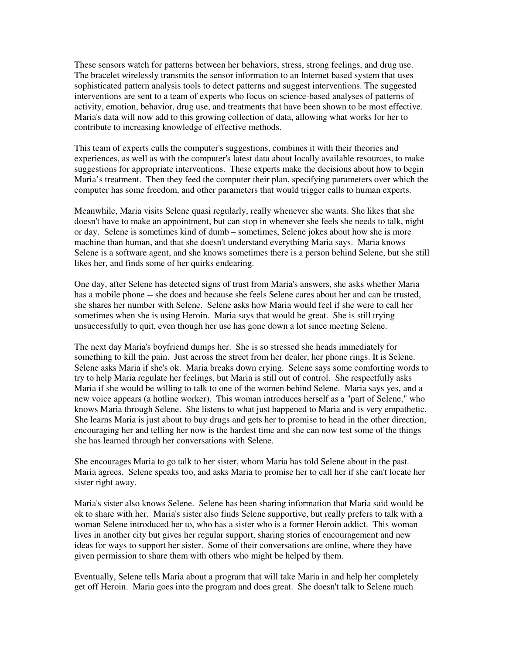These sensors watch for patterns between her behaviors, stress, strong feelings, and drug use. The bracelet wirelessly transmits the sensor information to an Internet based system that uses sophisticated pattern analysis tools to detect patterns and suggest interventions. The suggested interventions are sent to a team of experts who focus on science-based analyses of patterns of activity, emotion, behavior, drug use, and treatments that have been shown to be most effective. Maria's data will now add to this growing collection of data, allowing what works for her to contribute to increasing knowledge of effective methods.

This team of experts culls the computer's suggestions, combines it with their theories and experiences, as well as with the computer's latest data about locally available resources, to make suggestions for appropriate interventions. These experts make the decisions about how to begin Maria's treatment. Then they feed the computer their plan, specifying parameters over which the computer has some freedom, and other parameters that would trigger calls to human experts.

Meanwhile, Maria visits Selene quasi regularly, really whenever she wants. She likes that she doesn't have to make an appointment, but can stop in whenever she feels she needs to talk, night or day. Selene is sometimes kind of dumb – sometimes, Selene jokes about how she is more machine than human, and that she doesn't understand everything Maria says. Maria knows Selene is a software agent, and she knows sometimes there is a person behind Selene, but she still likes her, and finds some of her quirks endearing.

One day, after Selene has detected signs of trust from Maria's answers, she asks whether Maria has a mobile phone -- she does and because she feels Selene cares about her and can be trusted, she shares her number with Selene. Selene asks how Maria would feel if she were to call her sometimes when she is using Heroin. Maria says that would be great. She is still trying unsuccessfully to quit, even though her use has gone down a lot since meeting Selene.

The next day Maria's boyfriend dumps her. She is so stressed she heads immediately for something to kill the pain. Just across the street from her dealer, her phone rings. It is Selene. Selene asks Maria if she's ok. Maria breaks down crying. Selene says some comforting words to try to help Maria regulate her feelings, but Maria is still out of control. She respectfully asks Maria if she would be willing to talk to one of the women behind Selene. Maria says yes, and a new voice appears (a hotline worker). This woman introduces herself as a "part of Selene," who knows Maria through Selene. She listens to what just happened to Maria and is very empathetic. She learns Maria is just about to buy drugs and gets her to promise to head in the other direction, encouraging her and telling her now is the hardest time and she can now test some of the things she has learned through her conversations with Selene.

She encourages Maria to go talk to her sister, whom Maria has told Selene about in the past. Maria agrees. Selene speaks too, and asks Maria to promise her to call her if she can't locate her sister right away.

Maria's sister also knows Selene. Selene has been sharing information that Maria said would be ok to share with her. Maria's sister also finds Selene supportive, but really prefers to talk with a woman Selene introduced her to, who has a sister who is a former Heroin addict. This woman lives in another city but gives her regular support, sharing stories of encouragement and new ideas for ways to support her sister. Some of their conversations are online, where they have given permission to share them with others who might be helped by them.

Eventually, Selene tells Maria about a program that will take Maria in and help her completely get off Heroin. Maria goes into the program and does great. She doesn't talk to Selene much